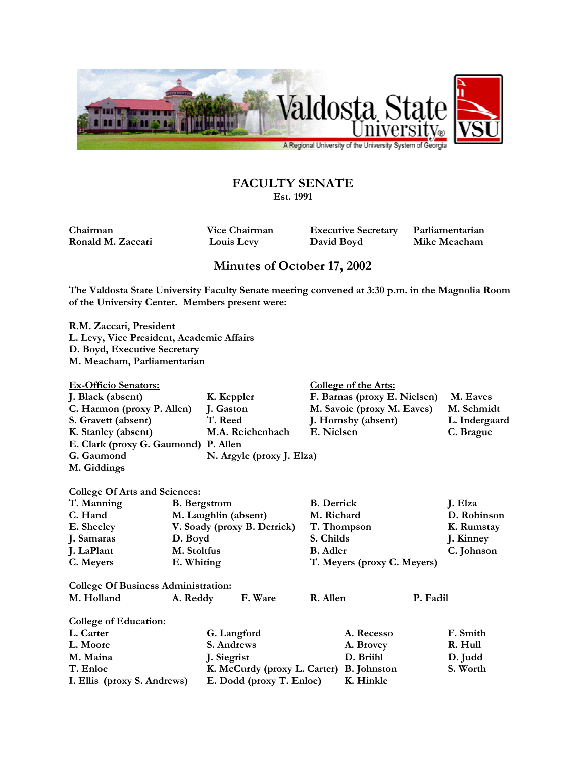

## **FACULTY SENATE**

**Est. 1991** 

**Chairman Vice Chairman Executive Secretary Parliamentarian Ronald M. Zaccari Louis Levy David Boyd Mike Meacham** 

## **Minutes of October 17, 2002**

**The Valdosta State University Faculty Senate meeting convened at 3:30 p.m. in the Magnolia Room of the University Center. Members present were:** 

**R.M. Zaccari, President L. Levy, Vice President, Academic Affairs D. Boyd, Executive Secretary M. Meacham, Parliamentarian** 

| <b>Ex-Officio Senators:</b>          |                           | College of the Arts:         |               |
|--------------------------------------|---------------------------|------------------------------|---------------|
| J. Black (absent)                    | K. Keppler                | F. Barnas (proxy E. Nielsen) | M. Eaves      |
| C. Harmon (proxy P. Allen)           | J. Gaston                 | M. Savoie (proxy M. Eaves)   | M. Schmidt    |
| S. Gravett (absent)                  | T. Reed                   | J. Hornsby (absent)          | L. Indergaard |
| K. Stanley (absent)                  | M.A. Reichenbach          | E. Nielsen                   | C. Brague     |
| E. Clark (proxy G. Gaumond) P. Allen |                           |                              |               |
| G. Gaumond                           | N. Argyle (proxy J. Elza) |                              |               |
| M. Giddings                          |                           |                              |               |
|                                      |                           |                              |               |

## **College Of Arts and Sciences:**

| T. Manning                                 | <b>B.</b> Bergstrom         | <b>B.</b> Derrick           | J. Elza     |  |  |  |
|--------------------------------------------|-----------------------------|-----------------------------|-------------|--|--|--|
| C. Hand                                    | M. Laughlin (absent)        | M. Richard                  | D. Robinson |  |  |  |
| E. Sheeley                                 | V. Soady (proxy B. Derrick) | T. Thompson                 | K. Rumstay  |  |  |  |
| J. Samaras                                 | D. Boyd                     | S. Childs                   | J. Kinney   |  |  |  |
| J. LaPlant                                 | M. Stoltfus                 | <b>B.</b> Adler             | C. Johnson  |  |  |  |
| C. Meyers                                  | E. Whiting                  | T. Meyers (proxy C. Meyers) |             |  |  |  |
|                                            |                             |                             |             |  |  |  |
| <b>College Of Business Administration:</b> |                             |                             |             |  |  |  |

| M. Holland            | A. Reddy | F. Ware | R. Allen | P. Fadil |
|-----------------------|----------|---------|----------|----------|
| College of Education: |          |         |          |          |

| L. Carter                   | G. Langford                              | A. Recesso | F. Smith |
|-----------------------------|------------------------------------------|------------|----------|
| L. Moore                    | S. Andrews                               | A. Brovey  | R. Hull  |
| M. Maina                    | J. Siegrist                              | D. Briihl  | D. Judd  |
| T. Enloe                    | K. McCurdy (proxy L. Carter) B. Johnston |            | S. Worth |
| I. Ellis (proxy S. Andrews) | E. Dodd (proxy T. Enloe)                 | K. Hinkle  |          |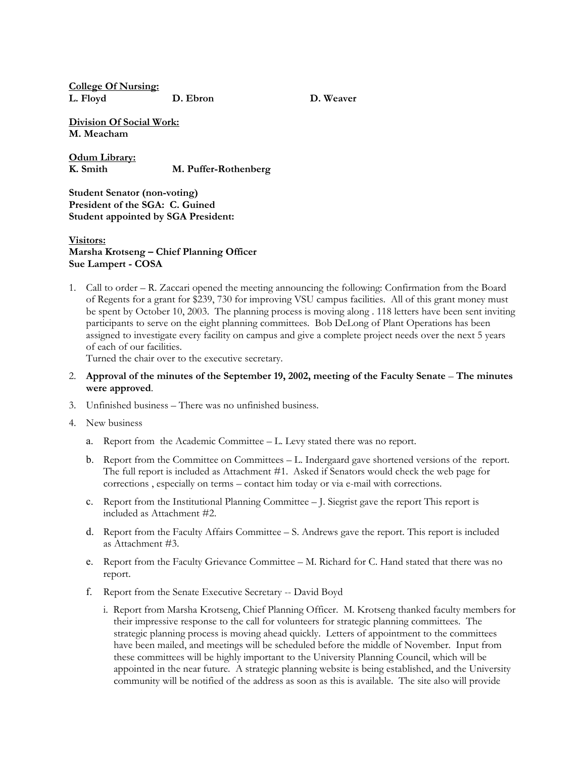**College Of Nursing: L. Floyd D. Ebron D. Weaver** 

**Division Of Social Work: M. Meacham** 

**Odum Library: K. Smith M. Puffer-Rothenberg** 

**Student Senator (non-voting) President of the SGA: C. Guined Student appointed by SGA President:** 

## **Visitors: Marsha Krotseng – Chief Planning Officer Sue Lampert - COSA**

1. Call to order – R. Zaccari opened the meeting announcing the following: Confirmation from the Board of Regents for a grant for \$239, 730 for improving VSU campus facilities. All of this grant money must be spent by October 10, 2003. The planning process is moving along . 118 letters have been sent inviting participants to serve on the eight planning committees. Bob DeLong of Plant Operations has been assigned to investigate every facility on campus and give a complete project needs over the next 5 years of each of our facilities.

Turned the chair over to the executive secretary.

- 2. **Approval of the minutes of the September 19, 2002, meeting of the Faculty Senate The minutes were approved**.
- 3. Unfinished business There was no unfinished business.
- 4. New business
	- a. Report from the Academic Committee L. Levy stated there was no report.
	- b. Report from the Committee on Committees L. Indergaard gave shortened versions of the report. The full report is included as Attachment #1. Asked if Senators would check the web page for corrections , especially on terms – contact him today or via e-mail with corrections.
	- c. Report from the Institutional Planning Committee J. Siegrist gave the report This report is included as Attachment #2.
	- d. Report from the Faculty Affairs Committee S. Andrews gave the report. This report is included as Attachment #3.
	- e. Report from the Faculty Grievance Committee M. Richard for C. Hand stated that there was no report.
	- f. Report from the Senate Executive Secretary -- David Boyd
		- i. Report from Marsha Krotseng, Chief Planning Officer. M. Krotseng thanked faculty members for their impressive response to the call for volunteers for strategic planning committees. The strategic planning process is moving ahead quickly. Letters of appointment to the committees have been mailed, and meetings will be scheduled before the middle of November. Input from these committees will be highly important to the University Planning Council, which will be appointed in the near future. A strategic planning website is being established, and the University community will be notified of the address as soon as this is available. The site also will provide